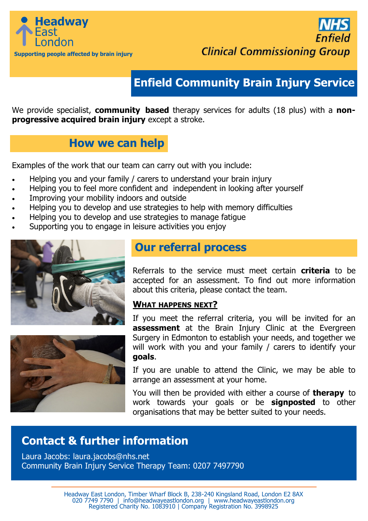



# **Enfield Community Brain Injury Service**

We provide specialist, **community based** therapy services for adults (18 plus) with a **nonprogressive acquired brain injury** except a stroke.

## **How we can help**

Examples of the work that our team can carry out with you include:

- Helping you and your family / carers to understand your brain injury
- Helping you to feel more confident and independent in looking after yourself
- Improving your mobility indoors and outside
- Helping you to develop and use strategies to help with memory difficulties
- Helping you to develop and use strategies to manage fatigue
- Supporting you to engage in leisure activities you enjoy





### **Our referral process**

Referrals to the service must meet certain **criteria** to be accepted for an assessment. To find out more information about this criteria, please contact the team.

### **WHAT HAPPENS NEXT?**

If you meet the referral criteria, you will be invited for an **assessment** at the Brain Injury Clinic at the Evergreen Surgery in Edmonton to establish your needs, and together we will work with you and your family / carers to identify your **goals**.

If you are unable to attend the Clinic, we may be able to arrange an assessment at your home.

You will then be provided with either a course of **therapy** to work towards your goals or be **signposted** to other organisations that may be better suited to your needs.

# **Contact & further information**

Laura Jacobs: laura.jacobs@nhs.net Community Brain Injury Service Therapy Team: 0207 7497790